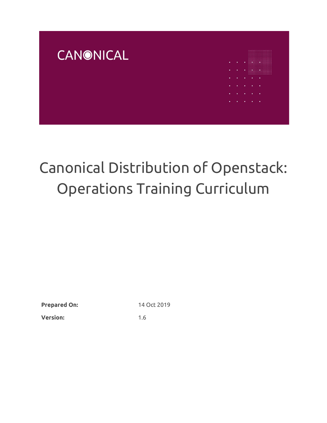

# Canonical Distribution of Openstack: Operations Training Curriculum

**Prepared On:** 14 Oct 2019

**Version:** 1.6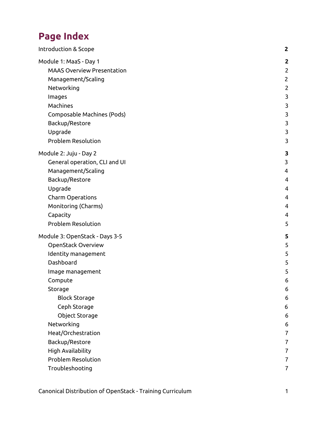## **Page Index**

| Introduction & Scope              | $\mathbf{2}$   |
|-----------------------------------|----------------|
| Module 1: MaaS - Day 1            | $\mathbf{2}$   |
| <b>MAAS Overview Presentation</b> | $\overline{2}$ |
| Management/Scaling                | $\overline{2}$ |
| Networking                        | $\overline{2}$ |
| Images                            | $\mathbf{3}$   |
| Machines                          | 3              |
| Composable Machines (Pods)        | 3              |
| Backup/Restore                    | 3              |
| Upgrade                           | 3              |
| <b>Problem Resolution</b>         | 3              |
| Module 2: Juju - Day 2            | 3              |
| General operation, CLI and UI     | 3              |
| Management/Scaling                | 4              |
| Backup/Restore                    | 4              |
| Upgrade                           | 4              |
| Charm Operations                  | 4              |
| Monitoring (Charms)               | 4              |
| Capacity                          | 4              |
| <b>Problem Resolution</b>         | 5              |
| Module 3: OpenStack - Days 3-5    | 5              |
| OpenStack Overview                | 5              |
| Identity management               | 5              |
| Dashboard                         | 5              |
| Image management                  | 5              |
| Compute                           | 6              |
| Storage                           | 6              |
| <b>Block Storage</b>              | 6              |
| Ceph Storage                      | 6              |
| Object Storage                    | 6              |
| Networking                        | 6              |
| Heat/Orchestration                | $\overline{7}$ |
| Backup/Restore                    | $\overline{7}$ |
| High Availability                 | $\overline{7}$ |
| <b>Problem Resolution</b>         | 7              |
| Troubleshooting                   | $\overline{7}$ |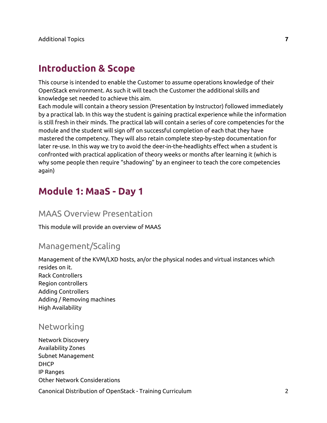## <span id="page-2-0"></span>**Introduction & Scope**

This course is intended to enable the Customer to assume operations knowledge of their OpenStack environment. As such it will teach the Customer the additional skills and knowledge set needed to achieve this aim.

Each module will contain a theory session (Presentation by Instructor) followed immediately by a practical lab. In this way the student is gaining practical experience while the information is still fresh in their minds. The practical lab will contain a series of core competencies for the module and the student will sign off on successful completion of each that they have mastered the competency. They will also retain complete step-by-step documentation for later re-use. In this way we try to avoid the deer-in-the-headlights effect when a student is confronted with practical application of theory weeks or months after learning it (which is why some people then require "shadowing" by an engineer to teach the core competencies again)

## <span id="page-2-1"></span>**Module 1: MaaS - Day 1**

#### <span id="page-2-2"></span>MAAS Overview Presentation

<span id="page-2-3"></span>This module will provide an overview of MAAS

#### Management/Scaling

Management of the KVM/LXD hosts, an/or the physical nodes and virtual instances which resides on it. Rack Controllers Region controllers Adding Controllers Adding / Removing machines High Availability

#### <span id="page-2-4"></span>Networking

Network Discovery Availability Zones Subnet Management DHCP IP Ranges Other Network Considerations

Canonical Distribution of OpenStack - Training Curriculum 2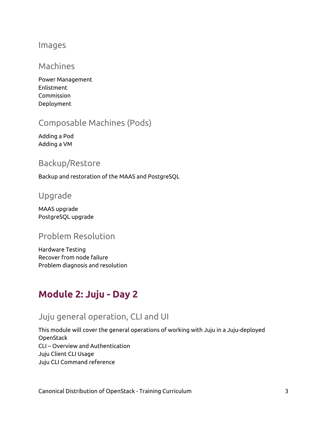#### <span id="page-3-0"></span>Images

## Machines

Power Management Enlistment Commission Deployment

## <span id="page-3-1"></span>Composable Machines (Pods)

Adding a Pod Adding a VM

## <span id="page-3-2"></span>Backup/Restore

<span id="page-3-3"></span>Backup and restoration of the MAAS and PostgreSQL

#### Upgrade

MAAS upgrade PostgreSQL upgrade

## <span id="page-3-4"></span>Problem Resolution

Hardware Testing Recover from node failure Problem diagnosis and resolution

# <span id="page-3-5"></span>**Module 2: Juju - Day 2**

## <span id="page-3-6"></span>Juju general operation, CLI and UI

This module will cover the general operations of working with Juju in a Juju-deployed **OpenStack** CLI – Overview and Authentication Juju Client CLI Usage Juju CLI Command reference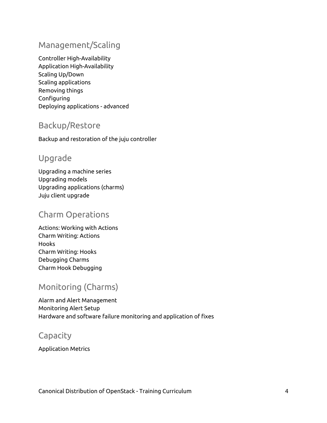## <span id="page-4-0"></span>Management/Scaling

Controller High-Availability Application High-Availability Scaling Up/Down Scaling applications Removing things Configuring Deploying applications - advanced

## <span id="page-4-1"></span>Backup/Restore

<span id="page-4-2"></span>Backup and restoration of the juju controller

## Upgrade

Upgrading a machine series Upgrading models Upgrading applications (charms) Juju client upgrade

## <span id="page-4-3"></span>Charm Operations

Actions: Working with Actions Charm Writing: Actions Hooks Charm Writing: Hooks Debugging Charms Charm Hook Debugging

## <span id="page-4-4"></span>Monitoring (Charms)

Alarm and Alert Management Monitoring Alert Setup Hardware and software failure monitoring and application of fixes

## <span id="page-4-5"></span>**Capacity**

Application Metrics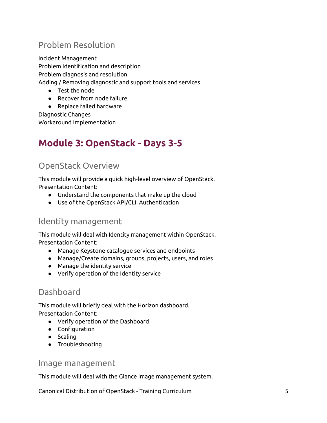## <span id="page-5-0"></span>Problem Resolution

Incident Management Problem Identification and description Problem diagnosis and resolution Adding / Removing diagnostic and support tools and services

- Test the node
- Recover from node failure

● Replace failed hardware Diagnostic Changes Workaround Implementation

# <span id="page-5-1"></span>**Module 3: OpenStack - Days 3-5**

## <span id="page-5-2"></span>OpenStack Overview

This module will provide a quick high-level overview of OpenStack. Presentation Content:

- Understand the components that make up the cloud
- Use of the OpenStack API/CLI, Authentication

#### <span id="page-5-3"></span>Identity management

This module will deal with Identity management within OpenStack. Presentation Content:

- Manage Keystone catalogue services and endpoints
- Manage/Create domains, groups, projects, users, and roles
- Manage the identity service
- Verify operation of the Identity service

## <span id="page-5-4"></span>Dashboard

This module will briefly deal with the Horizon dashboard. Presentation Content:

- Verify operation of the Dashboard
- Configuration
- Scaling
- Troubleshooting

#### <span id="page-5-5"></span>Image management

This module will deal with the Glance image management system.

Canonical Distribution of OpenStack - Training Curriculum 5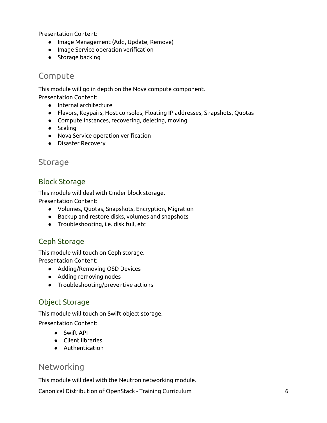Presentation Content:

- Image Management (Add, Update, Remove)
- Image Service operation verification
- Storage backing

#### <span id="page-6-0"></span>Compute

This module will go in depth on the Nova compute component. Presentation Content:

- Internal architecture
- Flavors, Keypairs, Host consoles, Floating IP addresses, Snapshots, Quotas
- Compute Instances, recovering, deleting, moving
- Scaling
- Nova Service operation verification
- Disaster Recovery

#### <span id="page-6-1"></span>Storage

#### <span id="page-6-2"></span>Block Storage

This module will deal with Cinder block storage. Presentation Content:

- Volumes, Quotas, Snapshots, Encryption, Migration
- Backup and restore disks, volumes and snapshots
- Troubleshooting, i.e. disk full, etc

#### <span id="page-6-3"></span>Ceph Storage

This module will touch on Ceph storage. Presentation Content:

- Adding/Removing OSD Devices
- Adding removing nodes
- Troubleshooting/preventive actions

#### <span id="page-6-4"></span>Object Storage

This module will touch on Swift object storage.

Presentation Content:

- Swift API
- Client libraries
- Authentication

#### <span id="page-6-5"></span>Networking

This module will deal with the Neutron networking module.

Canonical Distribution of OpenStack - Training Curriculum 6